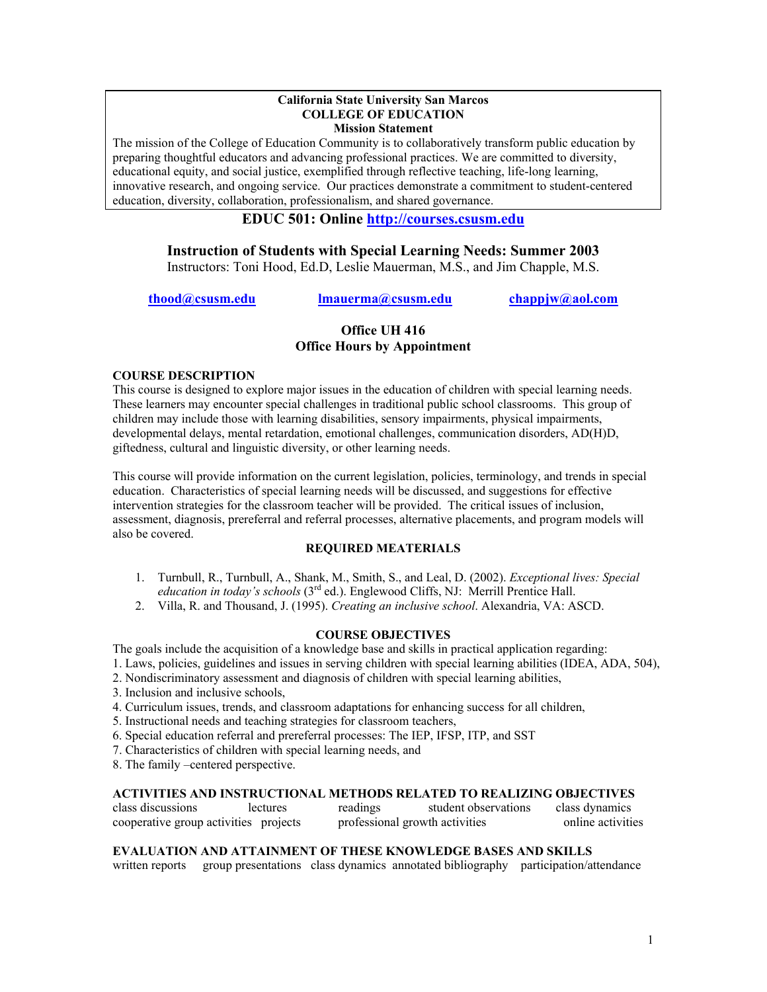#### **California State University San Marcos COLLEGE OF EDUCATION Mission Statement**

The mission of the College of Education Community is to collaboratively transform public education by preparing thoughtful educators and advancing professional practices. We are committed to diversity, educational equity, and social justice, exemplified through reflective teaching, life-long learning, innovative research, and ongoing service. Our practices demonstrate a commitment to student-centered education, diversity, collaboration, professionalism, and shared governance.

# **EDUC 501: Online [http://courses.csusm.edu](http://courses.csusm.edu/)**

# **Instruction of Students with Special Learning Needs: Summer 2003**

Instructors: Toni Hood, Ed.D, Leslie Mauerman, M.S., and Jim Chapple, M.S.

## **[thood@csusm.edu](mailto:thood@csusm.edu) [lmauerma@csusm.edu](mailto:lmauerma@csusm.edu) [chappjw@aol.com](mailto:chappjw@aol.com)**

# **Office UH 416 Office Hours by Appointment**

## **COURSE DESCRIPTION**

This course is designed to explore major issues in the education of children with special learning needs. These learners may encounter special challenges in traditional public school classrooms. This group of children may include those with learning disabilities, sensory impairments, physical impairments, developmental delays, mental retardation, emotional challenges, communication disorders, AD(H)D, giftedness, cultural and linguistic diversity, or other learning needs.

This course will provide information on the current legislation, policies, terminology, and trends in special education. Characteristics of special learning needs will be discussed, and suggestions for effective intervention strategies for the classroom teacher will be provided. The critical issues of inclusion, assessment, diagnosis, prereferral and referral processes, alternative placements, and program models will also be covered.

# **REQUIRED MEATERIALS**

- 1. Turnbull, R., Turnbull, A., Shank, M., Smith, S., and Leal, D. (2002). *Exceptional lives: Special education in today's schools* (3rd ed.). Englewood Cliffs, NJ: Merrill Prentice Hall.
- 2. Villa, R. and Thousand, J. (1995). *Creating an inclusive school*. Alexandria, VA: ASCD.

## **COURSE OBJECTIVES**

The goals include the acquisition of a knowledge base and skills in practical application regarding:

- 1. Laws, policies, guidelines and issues in serving children with special learning abilities (IDEA, ADA, 504),
- 2. Nondiscriminatory assessment and diagnosis of children with special learning abilities,
- 3. Inclusion and inclusive schools,
- 4. Curriculum issues, trends, and classroom adaptations for enhancing success for all children,
- 5. Instructional needs and teaching strategies for classroom teachers,
- 6. Special education referral and prereferral processes: The IEP, IFSP, ITP, and SST
- 7. Characteristics of children with special learning needs, and
- 8. The family –centered perspective.

### **ACTIVITIES AND INSTRUCTIONAL METHODS RELATED TO REALIZING OBJECTIVES**

| class discussions                     | rectures | readings                       | student observations | class dynamics    |
|---------------------------------------|----------|--------------------------------|----------------------|-------------------|
| cooperative group activities projects |          | professional growth activities |                      | online activities |

extudent observations class dynamics

### **EVALUATION AND ATTAINMENT OF THESE KNOWLEDGE BASES AND SKILLS**

written reports group presentations class dynamics annotated bibliography participation/attendance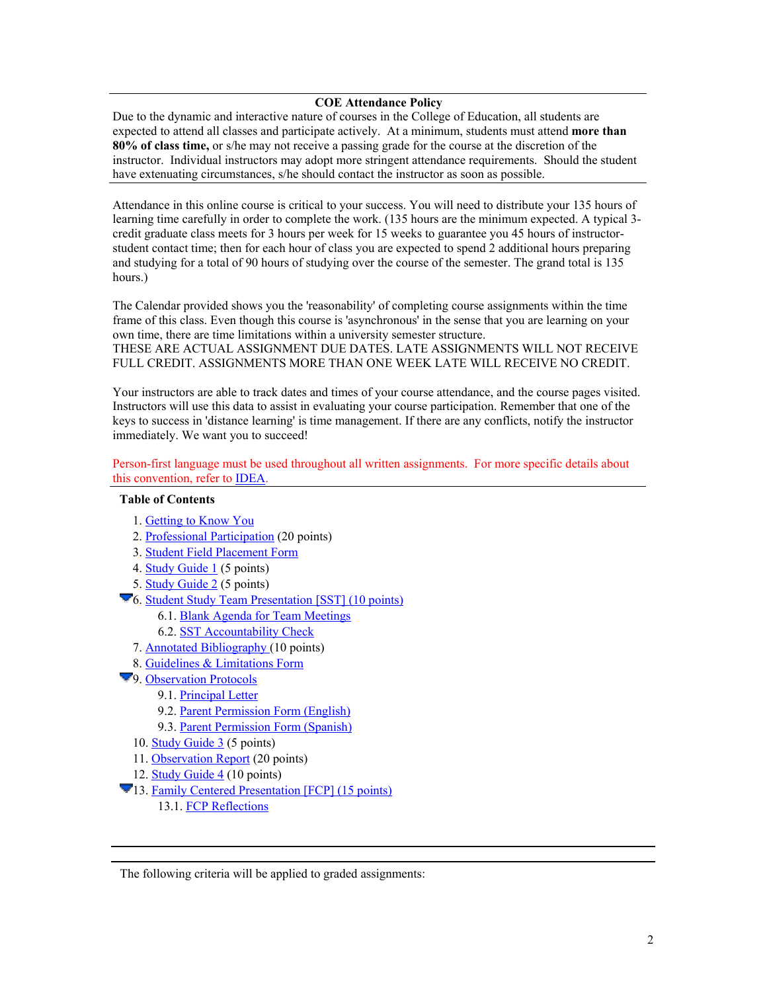#### **COE Attendance Policy**

Due to the dynamic and interactive nature of courses in the College of Education, all students are expected to attend all classes and participate actively. At a minimum, students must attend **more than 80% of class time,** or s/he may not receive a passing grade for the course at the discretion of the instructor. Individual instructors may adopt more stringent attendance requirements. Should the student have extenuating circumstances, s/he should contact the instructor as soon as possible.

Attendance in this online course is critical to your success. You will need to distribute your 135 hours of learning time carefully in order to complete the work. (135 hours are the minimum expected. A typical 3 credit graduate class meets for 3 hours per week for 15 weeks to guarantee you 45 hours of instructorstudent contact time; then for each hour of class you are expected to spend 2 additional hours preparing and studying for a total of 90 hours of studying over the course of the semester. The grand total is 135 hours.)

The Calendar provided shows you the 'reasonability' of completing course assignments within the time frame of this class. Even though this course is 'asynchronous' in the sense that you are learning on your own time, there are time limitations within a university semester structure.

THESE ARE ACTUAL ASSIGNMENT DUE DATES. LATE ASSIGNMENTS WILL NOT RECEIVE FULL CREDIT. ASSIGNMENTS MORE THAN ONE WEEK LATE WILL RECEIVE NO CREDIT.

Your instructors are able to track dates and times of your course attendance, and the course pages visited. Instructors will use this data to assist in evaluating your course participation. Remember that one of the keys to success in 'distance learning' is time management. If there are any conflicts, notify the instructor immediately. We want you to succeed!

Person-first language must be used throughout all written assignments. For more specific details about this convention, refer to [IDEA.](http://webct.csusm.edu/educ501shared/idea.html)

## **Table of Contents**

- 1. Getting to Know You
- 2. Professional Participation (20 points)
- 3. Student Field Placement Form
- 4. Study Guide 1 (5 points)
- 5. Study Guide 2 (5 points)
- 6. Student Study Team Presentation [SST] (10 points)
	- 6.1. Blank Agenda for Team Meetings
	- 6.2. SST Accountability Check
	- 7. Annotated Bibliography (10 points)
	- 8. Guidelines & Limitations Form
- 9. Observation Protocols
	- 9.1. Principal Letter
	- 9.2. Parent Permission Form (English)
	- 9.3. Parent Permission Form (Spanish)
	- 10. Study Guide 3 (5 points)
	- 11. Observation Report (20 points)
	- 12. Study Guide 4 (10 points)
- 13. Family Centered Presentation [FCP] (15 points)
	- 13.1. FCP Reflections

The following criteria will be applied to graded assignments: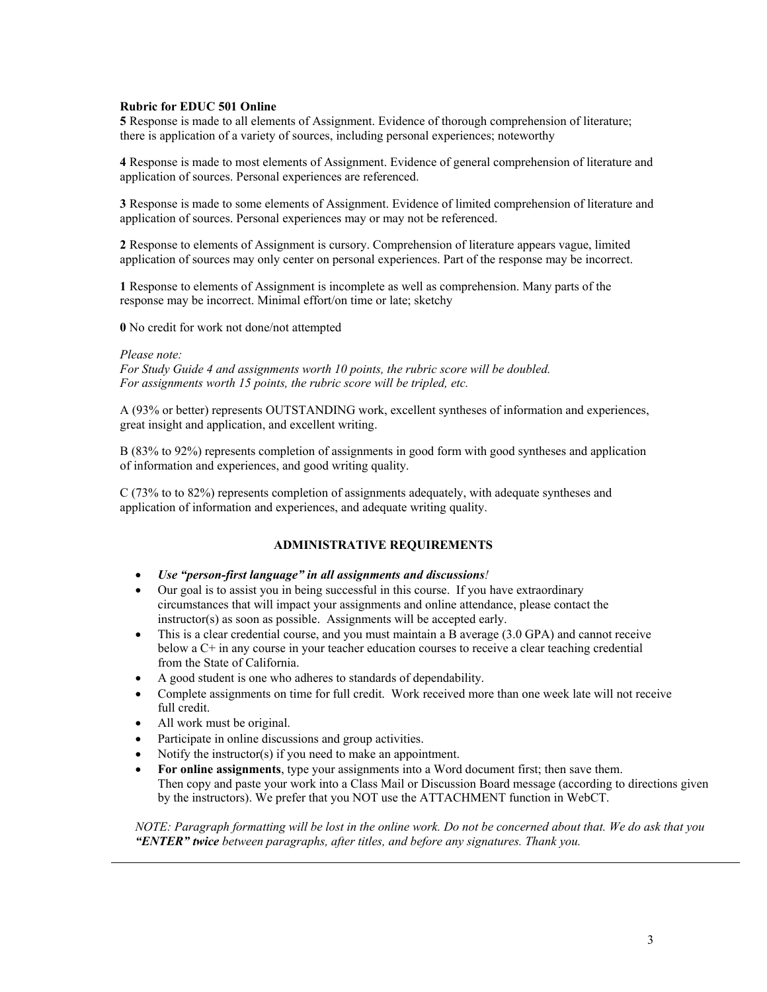## **Rubric for EDUC 501 Online**

**5** Response is made to all elements of Assignment. Evidence of thorough comprehension of literature; there is application of a variety of sources, including personal experiences; noteworthy

**4** Response is made to most elements of Assignment. Evidence of general comprehension of literature and application of sources. Personal experiences are referenced.

**3** Response is made to some elements of Assignment. Evidence of limited comprehension of literature and application of sources. Personal experiences may or may not be referenced.

**2** Response to elements of Assignment is cursory. Comprehension of literature appears vague, limited application of sources may only center on personal experiences. Part of the response may be incorrect.

**1** Response to elements of Assignment is incomplete as well as comprehension. Many parts of the response may be incorrect. Minimal effort/on time or late; sketchy

**0** No credit for work not done/not attempted

#### *Please note:*

*For Study Guide 4 and assignments worth 10 points, the rubric score will be doubled. For assignments worth 15 points, the rubric score will be tripled, etc.*

A (93% or better) represents OUTSTANDING work, excellent syntheses of information and experiences, great insight and application, and excellent writing.

B (83% to 92%) represents completion of assignments in good form with good syntheses and application of information and experiences, and good writing quality.

C (73% to to 82%) represents completion of assignments adequately, with adequate syntheses and application of information and experiences, and adequate writing quality.

### **ADMINISTRATIVE REQUIREMENTS**

- *Use "person-first language" in all assignments and discussions!*
- Our goal is to assist you in being successful in this course. If you have extraordinary circumstances that will impact your assignments and online attendance, please contact the instructor(s) as soon as possible. Assignments will be accepted early.
- This is a clear credential course, and you must maintain a B average (3.0 GPA) and cannot receive below a C+ in any course in your teacher education courses to receive a clear teaching credential from the State of California.
- A good student is one who adheres to standards of dependability.
- Complete assignments on time for full credit. Work received more than one week late will not receive full credit.
- All work must be original.
- Participate in online discussions and group activities.
- Notify the instructor(s) if you need to make an appointment.
- **For online assignments**, type your assignments into a Word document first; then save them. Then copy and paste your work into a Class Mail or Discussion Board message (according to directions given by the instructors). We prefer that you NOT use the ATTACHMENT function in WebCT.

*NOTE: Paragraph formatting will be lost in the online work. Do not be concerned about that. We do ask that you "ENTER" twice between paragraphs, after titles, and before any signatures. Thank you.*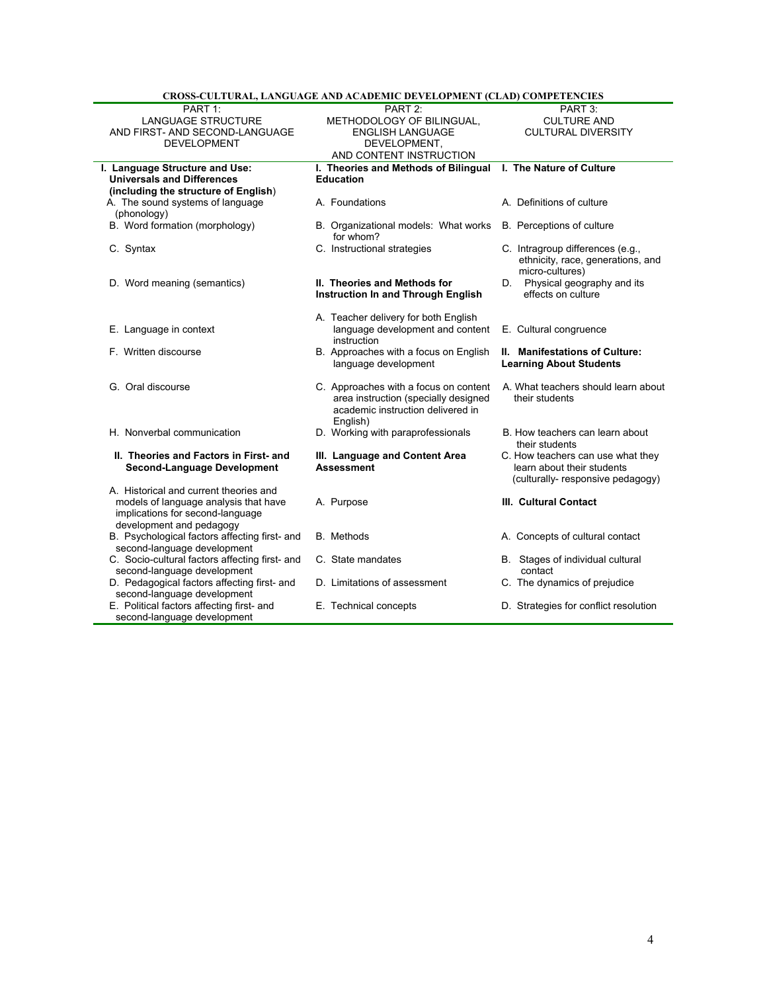| <b>CROSS-CULTURAL, LANGUAGE AND ACADEMIC DEVELOPMENT (CLAD) COMPETENCIES</b> |                                           |                                       |  |  |
|------------------------------------------------------------------------------|-------------------------------------------|---------------------------------------|--|--|
| PART 1:                                                                      | PART 2:                                   | PART 3:                               |  |  |
| <b>LANGUAGE STRUCTURE</b>                                                    | METHODOLOGY OF BILINGUAL,                 | <b>CULTURE AND</b>                    |  |  |
| AND FIRST- AND SECOND-LANGUAGE                                               | <b>ENGLISH LANGUAGE</b>                   | <b>CULTURAL DIVERSITY</b>             |  |  |
| <b>DEVELOPMENT</b>                                                           | DEVELOPMENT,                              |                                       |  |  |
|                                                                              | AND CONTENT INSTRUCTION                   |                                       |  |  |
| I. Language Structure and Use:                                               | I. Theories and Methods of Bilingual      | I. The Nature of Culture              |  |  |
| <b>Universals and Differences</b>                                            | <b>Education</b>                          |                                       |  |  |
| (including the structure of English)                                         |                                           |                                       |  |  |
| A. The sound systems of language                                             | A. Foundations                            | A. Definitions of culture             |  |  |
| (phonology)                                                                  |                                           |                                       |  |  |
| B. Word formation (morphology)                                               | B. Organizational models: What works      |                                       |  |  |
|                                                                              | for whom?                                 | B. Perceptions of culture             |  |  |
|                                                                              |                                           |                                       |  |  |
| C. Syntax                                                                    | C. Instructional strategies               | C. Intragroup differences (e.g.,      |  |  |
|                                                                              |                                           | ethnicity, race, generations, and     |  |  |
|                                                                              |                                           | micro-cultures)                       |  |  |
| D. Word meaning (semantics)                                                  | II. Theories and Methods for              | D. Physical geography and its         |  |  |
|                                                                              | <b>Instruction In and Through English</b> | effects on culture                    |  |  |
|                                                                              |                                           |                                       |  |  |
|                                                                              | A. Teacher delivery for both English      |                                       |  |  |
| E. Language in context                                                       | language development and content          | E. Cultural congruence                |  |  |
|                                                                              | instruction                               |                                       |  |  |
| F. Written discourse                                                         | B. Approaches with a focus on English     | II. Manifestations of Culture:        |  |  |
|                                                                              | language development                      | <b>Learning About Students</b>        |  |  |
|                                                                              |                                           |                                       |  |  |
| G. Oral discourse                                                            | C. Approaches with a focus on content     | A. What teachers should learn about   |  |  |
|                                                                              | area instruction (specially designed      | their students                        |  |  |
|                                                                              | academic instruction delivered in         |                                       |  |  |
|                                                                              | English)                                  |                                       |  |  |
| H. Nonverbal communication                                                   | D. Working with paraprofessionals         | B. How teachers can learn about       |  |  |
|                                                                              |                                           | their students                        |  |  |
| II. Theories and Factors in First- and                                       | III. Language and Content Area            | C. How teachers can use what they     |  |  |
| Second-Language Development                                                  | <b>Assessment</b>                         | learn about their students            |  |  |
|                                                                              |                                           | (culturally-responsive pedagogy)      |  |  |
| A. Historical and current theories and                                       |                                           |                                       |  |  |
| models of language analysis that have                                        | A. Purpose                                | <b>III. Cultural Contact</b>          |  |  |
| implications for second-language                                             |                                           |                                       |  |  |
| development and pedagogy                                                     |                                           |                                       |  |  |
| B. Psychological factors affecting first- and                                | <b>B.</b> Methods                         | A. Concepts of cultural contact       |  |  |
| second-language development                                                  |                                           |                                       |  |  |
| C. Socio-cultural factors affecting first- and                               | C. State mandates                         | B. Stages of individual cultural      |  |  |
| second-language development                                                  |                                           | contact                               |  |  |
| D. Pedagogical factors affecting first- and                                  | D. Limitations of assessment              | C. The dynamics of prejudice          |  |  |
| second-language development                                                  |                                           |                                       |  |  |
| E. Political factors affecting first- and                                    | E. Technical concepts                     | D. Strategies for conflict resolution |  |  |
| second-language development                                                  |                                           |                                       |  |  |
|                                                                              |                                           |                                       |  |  |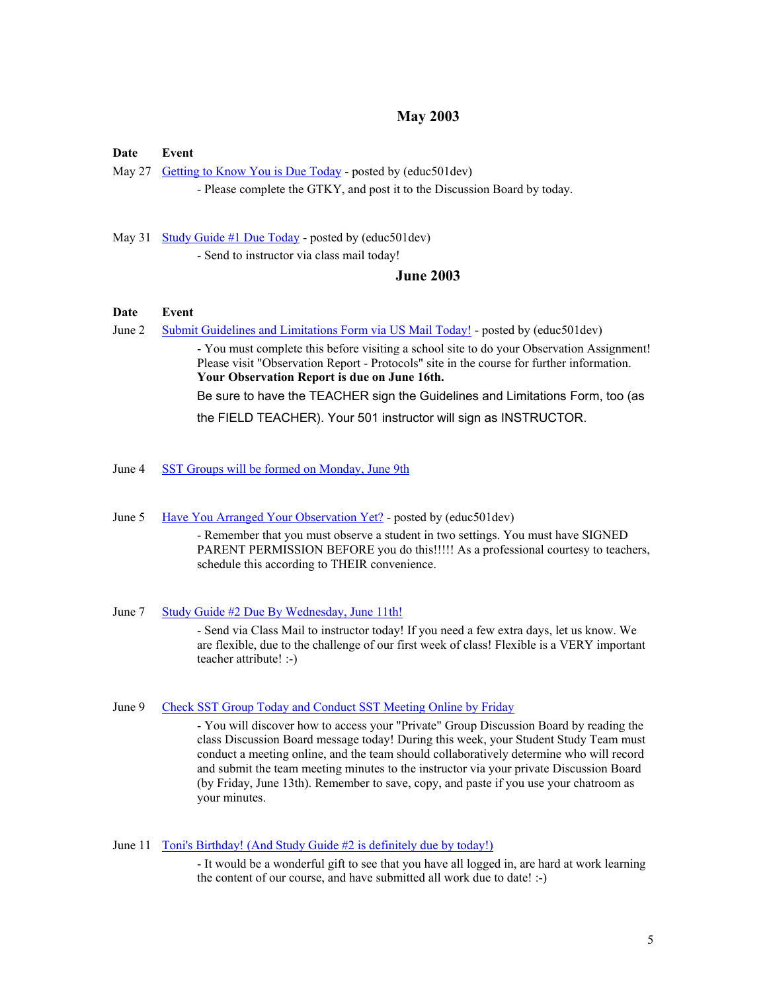## **May 2003**

## **Date Event**

May 27 Getting to Know You is Due Today - posted by (educ501dev)

- Please complete the GTKY, and post it to the Discussion Board by today.

May 31 Study Guide #1 Due Today - posted by (educ501dev)

- Send to instructor via class mail today!

## **June 2003**

#### **Date Event**

June 2 Submit Guidelines and Limitations Form via US Mail Today! - posted by (educ501dev)

- You must complete this before visiting a school site to do your Observation Assignment! Please visit "Observation Report - Protocols" site in the course for further information. **Your Observation Report is due on June 16th.**

Be sure to have the TEACHER sign the Guidelines and Limitations Form, too (as the FIELD TEACHER). Your 501 instructor will sign as INSTRUCTOR.

- June 4 SST Groups will be formed on Monday, June 9th
- June 5 Have You Arranged Your Observation Yet? posted by (educ501dev) - Remember that you must observe a student in two settings. You must have SIGNED PARENT PERMISSION BEFORE you do this!!!!! As a professional courtesy to teachers, schedule this according to THEIR convenience.

### June 7 Study Guide #2 Due By Wednesday, June 11th!

- Send via Class Mail to instructor today! If you need a few extra days, let us know. We are flexible, due to the challenge of our first week of class! Flexible is a VERY important teacher attribute! :-)

#### June 9 Check SST Group Today and Conduct SST Meeting Online by Friday

- You will discover how to access your "Private" Group Discussion Board by reading the class Discussion Board message today! During this week, your Student Study Team must conduct a meeting online, and the team should collaboratively determine who will record and submit the team meeting minutes to the instructor via your private Discussion Board (by Friday, June 13th). Remember to save, copy, and paste if you use your chatroom as your minutes.

### June 11 Toni's Birthday! (And Study Guide #2 is definitely due by today!)

- It would be a wonderful gift to see that you have all logged in, are hard at work learning the content of our course, and have submitted all work due to date! :-)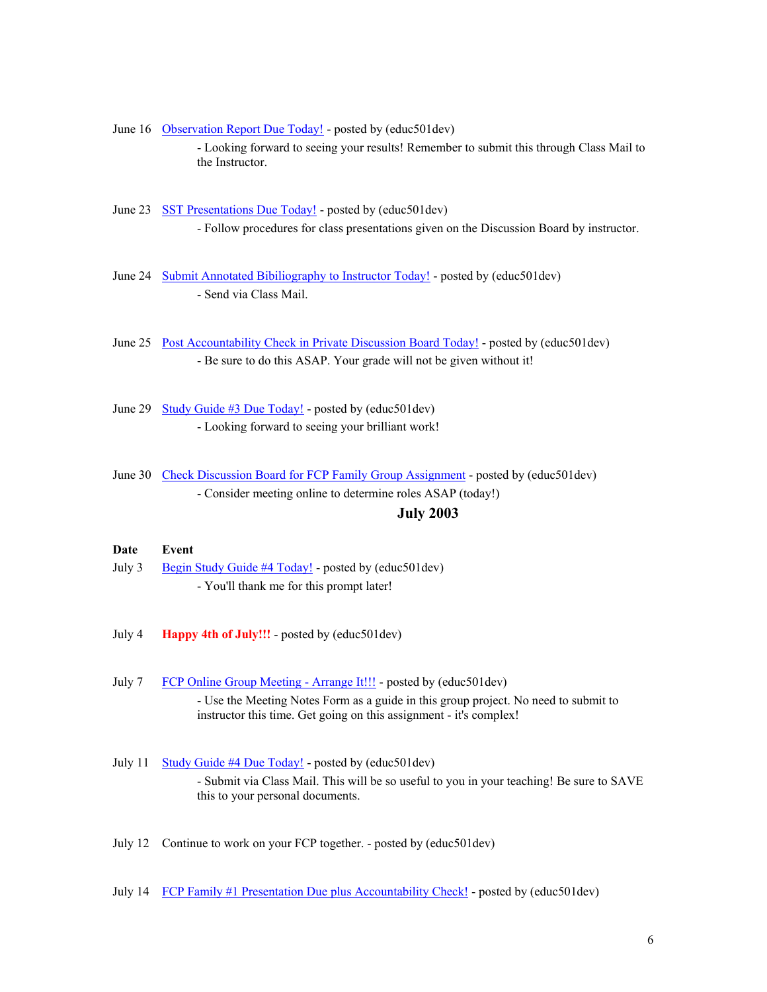June 16 Observation Report Due Today! - posted by (educ501dev) - Looking forward to seeing your results! Remember to submit this through Class Mail to the Instructor.

- June 23 SST Presentations Due Today! posted by (educ501dev) - Follow procedures for class presentations given on the Discussion Board by instructor.
- June 24 Submit Annotated Bibiliography to Instructor Today! posted by (educ501dev) - Send via Class Mail.
- June 25 Post Accountability Check in Private Discussion Board Today! posted by (educ501dev) - Be sure to do this ASAP. Your grade will not be given without it!
- June 29 Study Guide #3 Due Today! posted by (educ501dev) - Looking forward to seeing your brilliant work!
- June 30 Check Discussion Board for FCP Family Group Assignment posted by (educ501dev) - Consider meeting online to determine roles ASAP (today!)

# **July 2003**

### **Date Event**

- July 3 Begin Study Guide #4 Today! posted by (educ501dev) - You'll thank me for this prompt later!
- July 4 **Happy 4th of July!!!** posted by (educ501dev)
- July 7 FCP Online Group Meeting Arrange It!!! posted by (educ501dev) - Use the Meeting Notes Form as a guide in this group project. No need to submit to instructor this time. Get going on this assignment - it's complex!
- July 11 Study Guide #4 Due Today! posted by (educ501dev) - Submit via Class Mail. This will be so useful to you in your teaching! Be sure to SAVE this to your personal documents.
- July 12 Continue to work on your FCP together. posted by (educ501dev)
- July 14 FCP Family #1 Presentation Due plus Accountability Check! posted by (educ501dev)